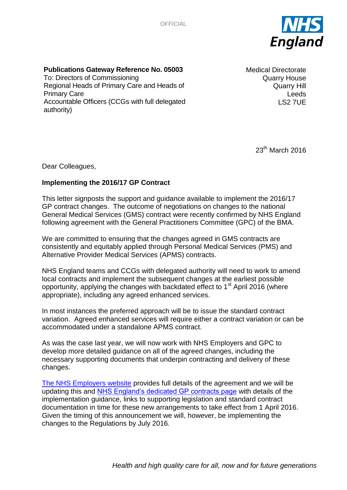**OFFICIAL** 



## **Publications Gateway Reference No. 05003**

To: Directors of Commissioning Regional Heads of Primary Care and Heads of Primary Care Accountable Officers (CCGs with full delegated authority)

Medical Directorate Quarry House Quarry Hill Leeds LS2 7UE

23th March 2016

Dear Colleagues,

## **Implementing the 2016/17 GP Contract**

This letter signposts the support and guidance available to implement the 2016/17 GP contract changes. The outcome of negotiations on changes to the national General Medical Services (GMS) contract were recently confirmed by NHS England following agreement with the General Practitioners Committee (GPC) of the BMA.

We are committed to ensuring that the changes agreed in GMS contracts are consistently and equitably applied through Personal Medical Services (PMS) and Alternative Provider Medical Services (APMS) contracts.

NHS England teams and CCGs with delegated authority will need to work to amend local contracts and implement the subsequent changes at the earliest possible opportunity, applying the changes with backdated effect to  $1<sup>st</sup>$  April 2016 (where appropriate), including any agreed enhanced services.

In most instances the preferred approach will be to issue the standard contract variation. Agreed enhanced services will require either a contract variation or can be accommodated under a standalone APMS contract.

As was the case last year, we will now work with NHS Employers and GPC to develop more detailed guidance on all of the agreed changes, including the necessary supporting documents that underpin contracting and delivery of these changes.

[The NHS Employers website](http://www.nhsemployers.org/gms201617) provides full details of the agreement and we will be updating this and [NHS England's dedicated GP contracts page](https://www.england.nhs.uk/commissioning/gp-contract/) with details of the implementation guidance, links to supporting legislation and standard contract documentation in time for these new arrangements to take effect from 1 April 2016. Given the timing of this announcement we will, however, be implementing the changes to the Regulations by July 2016.